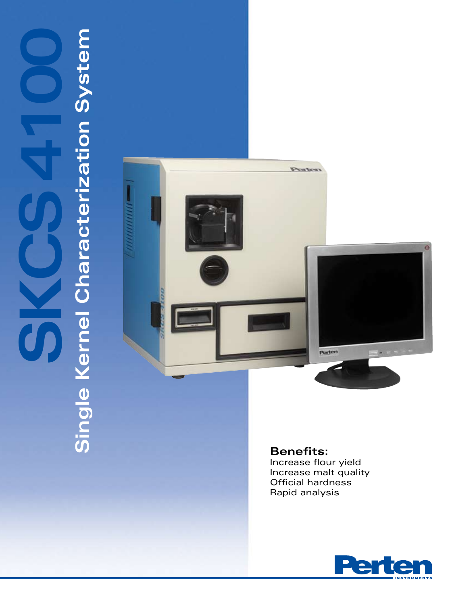# **SKCS 4100 Single Kernel Characterization System** Single Kernel Characterization System  $\frac{1}{1}$



**Benefits:** Increase flour yield Increase malt quality Official hardness Rapid analysis